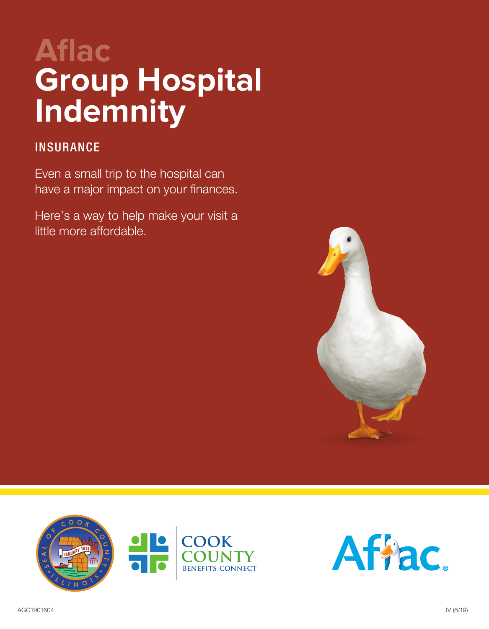# **Aflac Group Hospital Indemnity**

### **INSURANCE**

Even a small trip to the hospital can have a major impact on your finances.

Here's a way to help make your visit a little more affordable.





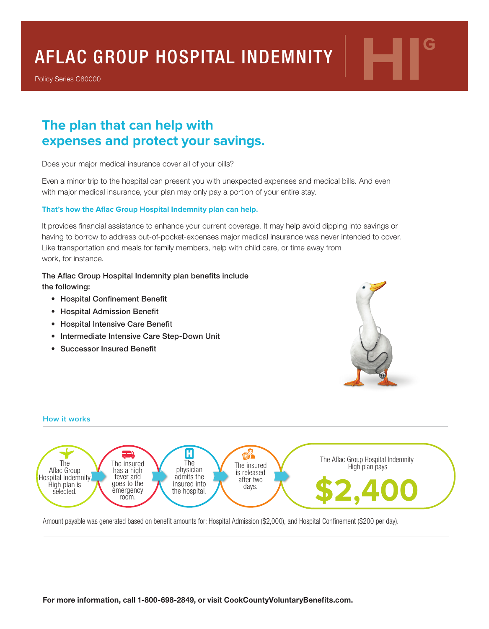# AFLAC GROUP HOSPITAL INDEMNITY **HIG**

Policy Series C80000

## **The plan that can help with expenses and protect your savings.**

Does your major medical insurance cover all of your bills?

Even a minor trip to the hospital can present you with unexpected expenses and medical bills. And even with major medical insurance, your plan may only pay a portion of your entire stay.

#### **That's how the Aflac Group Hospital Indemnity plan can help.**

It provides financial assistance to enhance your current coverage. It may help avoid dipping into savings or having to borrow to address out-of-pocket-expenses major medical insurance was never intended to cover. Like transportation and meals for family members, help with child care, or time away from work, for instance.

#### The Aflac Group Hospital Indemnity plan benefits include

the following:

- Hospital Confinement Benefit
- Hospital Admission Benefit
- Hospital Intensive Care Benefit
- Intermediate Intensive Care Step-Down Unit
- Successor Insured Benefit





Amount payable was generated based on benefit amounts for: Hospital Admission (\$2,000), and Hospital Confinement (\$200 per day).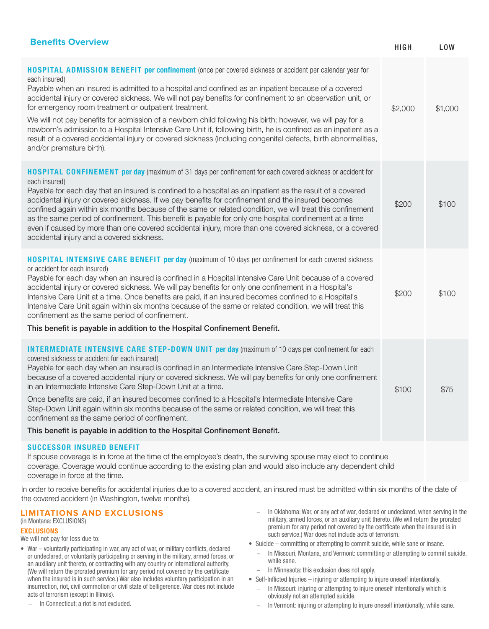| <b>Benefits Overview</b>                                                                                                                                                                                                                                                                                                                                                                                                                                                                                                                                                                                                                                                                                                                                                                  | <b>HIGH</b> | <b>LOW</b> |
|-------------------------------------------------------------------------------------------------------------------------------------------------------------------------------------------------------------------------------------------------------------------------------------------------------------------------------------------------------------------------------------------------------------------------------------------------------------------------------------------------------------------------------------------------------------------------------------------------------------------------------------------------------------------------------------------------------------------------------------------------------------------------------------------|-------------|------------|
| <b>HOSPITAL ADMISSION BENEFIT per confinement</b> (once per covered sickness or accident per calendar year for<br>each insured)<br>Payable when an insured is admitted to a hospital and confined as an inpatient because of a covered<br>accidental injury or covered sickness. We will not pay benefits for confinement to an observation unit, or<br>for emergency room treatment or outpatient treatment.<br>We will not pay benefits for admission of a newborn child following his birth; however, we will pay for a<br>newborn's admission to a Hospital Intensive Care Unit if, following birth, he is confined as an inpatient as a<br>result of a covered accidental injury or covered sickness (including congenital defects, birth abnormalities,<br>and/or premature birth). | \$2,000     | \$1,000    |
| <b>HOSPITAL CONFINEMENT per day (maximum of 31 days per confinement for each covered sickness or accident for</b><br>each insured)<br>Payable for each day that an insured is confined to a hospital as an inpatient as the result of a covered<br>accidental injury or covered sickness. If we pay benefits for confinement and the insured becomes<br>confined again within six months because of the same or related condition, we will treat this confinement<br>as the same period of confinement. This benefit is payable for only one hospital confinement at a time<br>even if caused by more than one covered accidental injury, more than one covered sickness, or a covered<br>accidental injury and a covered sickness.                                                       | \$200       | \$100      |
| <b>HOSPITAL INTENSIVE CARE BENEFIT per day</b> (maximum of 10 days per confinement for each covered sickness<br>or accident for each insured)<br>Payable for each day when an insured is confined in a Hospital Intensive Care Unit because of a covered<br>accidental injury or covered sickness. We will pay benefits for only one confinement in a Hospital's<br>Intensive Care Unit at a time. Once benefits are paid, if an insured becomes confined to a Hospital's<br>Intensive Care Unit again within six months because of the same or related condition, we will treat this<br>confinement as the same period of confinement.<br>This benefit is payable in addition to the Hospital Confinement Benefit.                                                                       | \$200       | \$100      |
| <b>INTERMEDIATE INTENSIVE CARE STEP-DOWN UNIT per day</b> (maximum of 10 days per confinement for each<br>covered sickness or accident for each insured)<br>Payable for each day when an insured is confined in an Intermediate Intensive Care Step-Down Unit<br>because of a covered accidental injury or covered sickness. We will pay benefits for only one confinement<br>in an Intermediate Intensive Care Step-Down Unit at a time.<br>Once benefits are paid, if an insured becomes confined to a Hospital's Intermediate Intensive Care<br>Step-Down Unit again within six months because of the same or related condition, we will treat this<br>confinement as the same period of confinement.<br>This benefit is payable in addition to the Hospital Confinement Benefit.      | \$100       | \$75       |
| <b>SUCCESSOR INSURED BENEFIT</b>                                                                                                                                                                                                                                                                                                                                                                                                                                                                                                                                                                                                                                                                                                                                                          |             |            |

If spouse coverage is in force at the time of the employee's death, the surviving spouse may elect to continue coverage. Coverage would continue according to the existing plan and would also include any dependent child coverage in force at the time.

In order to receive benefits for accidental injuries due to a covered accident, an insured must be admitted within six months of the date of the covered accident (in Washington, twelve months).

#### **LIMITATIONS AND EXCLUSIONS**

#### (in Montana: EXCLUSIONS)

#### EXCLUSIONS

We will not pay for loss due to:

- War voluntarily participating in war, any act of war, or military conflicts, declared or undeclared, or voluntarily participating or serving in the military, armed forces, or an auxiliary unit thereto, or contracting with any country or international authority. (We will return the prorated premium for any period not covered by the certificate when the insured is in such service.) War also includes voluntary participation in an insurrection, riot, civil commotion or civil state of belligerence. War does not include acts of terrorism (except in Illinois).
	- − In Connecticut: a riot is not excluded.
- − In Oklahoma: War, or any act of war, declared or undeclared, when serving in the military, armed forces, or an auxiliary unit thereto. (We will return the prorated premium for any period not covered by the certificate when the insured is in such service.) War does not include acts of terrorism.
- Suicide committing or attempting to commit suicide, while sane or insane.
	- − In Missouri, Montana, and Vermont: committing or attempting to commit suicide, while sane.
	- − In Minnesota: this exclusion does not apply.
- Self-Inflicted Injuries injuring or attempting to injure oneself intentionally.
	- − In Missouri: injuring or attempting to injure oneself intentionally which is obviously not an attempted suicide.
	- − In Vermont: injuring or attempting to injure oneself intentionally, while sane.